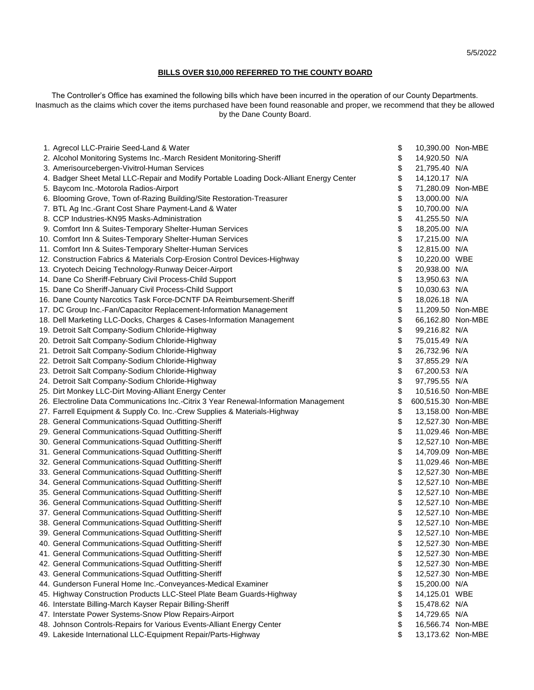## **BILLS OVER \$10,000 REFERRED TO THE COUNTY BOARD**

The Controller's Office has examined the following bills which have been incurred in the operation of our County Departments. Inasmuch as the claims which cover the items purchased have been found reasonable and proper, we recommend that they be allowed by the Dane County Board.

| 1. Agrecol LLC-Prairie Seed-Land & Water                                                | \$ | 10,390.00 Non-MBE  |  |
|-----------------------------------------------------------------------------------------|----|--------------------|--|
| 2. Alcohol Monitoring Systems Inc.-March Resident Monitoring-Sheriff                    | \$ | 14,920.50 N/A      |  |
| 3. Amerisourcebergen-Vivitrol-Human Services                                            | \$ | 21,795.40 N/A      |  |
| 4. Badger Sheet Metal LLC-Repair and Modify Portable Loading Dock-Alliant Energy Center | \$ | 14,120.17 N/A      |  |
| 5. Baycom Inc.-Motorola Radios-Airport                                                  | \$ | 71,280.09 Non-MBE  |  |
| 6. Blooming Grove, Town of-Razing Building/Site Restoration-Treasurer                   | \$ | 13,000.00 N/A      |  |
| 7. BTL Ag Inc.-Grant Cost Share Payment-Land & Water                                    | \$ | 10,700.00 N/A      |  |
| 8. CCP Industries-KN95 Masks-Administration                                             | \$ | 41,255.50 N/A      |  |
| 9. Comfort Inn & Suites-Temporary Shelter-Human Services                                | \$ | 18,205.00 N/A      |  |
| 10. Comfort Inn & Suites-Temporary Shelter-Human Services                               | \$ | 17,215.00 N/A      |  |
| 11. Comfort Inn & Suites-Temporary Shelter-Human Services                               | \$ | 12,815.00 N/A      |  |
| 12. Construction Fabrics & Materials Corp-Erosion Control Devices-Highway               | \$ | 10,220.00 WBE      |  |
| 13. Cryotech Deicing Technology-Runway Deicer-Airport                                   | \$ | 20,938.00 N/A      |  |
| 14. Dane Co Sheriff-February Civil Process-Child Support                                | \$ | 13,950.63 N/A      |  |
| 15. Dane Co Sheriff-January Civil Process-Child Support                                 | \$ | 10,030.63 N/A      |  |
| 16. Dane County Narcotics Task Force-DCNTF DA Reimbursement-Sheriff                     | \$ | 18,026.18 N/A      |  |
| 17. DC Group Inc.-Fan/Capacitor Replacement-Information Management                      | \$ | 11,209.50 Non-MBE  |  |
| 18. Dell Marketing LLC-Docks, Charges & Cases-Information Management                    | \$ | 66,162.80 Non-MBE  |  |
| 19. Detroit Salt Company-Sodium Chloride-Highway                                        | \$ | 99,216.82 N/A      |  |
| 20. Detroit Salt Company-Sodium Chloride-Highway                                        | \$ | 75,015.49 N/A      |  |
| 21. Detroit Salt Company-Sodium Chloride-Highway                                        | \$ | 26,732.96 N/A      |  |
| 22. Detroit Salt Company-Sodium Chloride-Highway                                        | \$ | 37,855.29 N/A      |  |
| 23. Detroit Salt Company-Sodium Chloride-Highway                                        | \$ | 67,200.53 N/A      |  |
| 24. Detroit Salt Company-Sodium Chloride-Highway                                        | \$ | 97,795.55 N/A      |  |
| 25. Dirt Monkey LLC-Dirt Moving-Alliant Energy Center                                   | \$ | 10,516.50 Non-MBE  |  |
| 26. Electroline Data Communications Inc.-Citrix 3 Year Renewal-Information Management   | \$ | 600,515.30 Non-MBE |  |
| 27. Farrell Equipment & Supply Co. Inc.-Crew Supplies & Materials-Highway               | \$ | 13,158.00 Non-MBE  |  |
| 28. General Communications-Squad Outfitting-Sheriff                                     | \$ | 12,527.30 Non-MBE  |  |
| 29. General Communications-Squad Outfitting-Sheriff                                     | \$ | 11,029.46 Non-MBE  |  |
| 30. General Communications-Squad Outfitting-Sheriff                                     | \$ | 12,527.10 Non-MBE  |  |
| 31. General Communications-Squad Outfitting-Sheriff                                     | \$ | 14,709.09 Non-MBE  |  |
| 32. General Communications-Squad Outfitting-Sheriff                                     | \$ | 11,029.46 Non-MBE  |  |
| 33. General Communications-Squad Outfitting-Sheriff                                     | \$ | 12,527.30 Non-MBE  |  |
| 34. General Communications-Squad Outfitting-Sheriff                                     | \$ | 12,527.10 Non-MBE  |  |
| 35. General Communications-Squad Outfitting-Sheriff                                     | \$ | 12,527.10 Non-MBE  |  |
| 36. General Communications-Squad Outfitting-Sheriff                                     | \$ | 12,527.10 Non-MBE  |  |
| 37. General Communications-Squad Outfitting-Sheriff                                     | \$ | 12,527.10 Non-MBE  |  |
| 38. General Communications-Squad Outfitting-Sheriff                                     | \$ | 12,527.10 Non-MBE  |  |
| 39. General Communications-Squad Outfitting-Sheriff                                     | Φ  | 12,527.10 Non-MBE  |  |
| 40. General Communications-Squad Outfitting-Sheriff                                     | \$ | 12,527.30 Non-MBE  |  |
| 41. General Communications-Squad Outfitting-Sheriff                                     | \$ | 12,527.30 Non-MBE  |  |
| 42. General Communications-Squad Outfitting-Sheriff                                     | \$ | 12,527.30 Non-MBE  |  |
| 43. General Communications-Squad Outfitting-Sheriff                                     | \$ | 12,527.30 Non-MBE  |  |
| 44. Gunderson Funeral Home Inc.-Conveyances-Medical Examiner                            | \$ | 15,200.00 N/A      |  |
| 45. Highway Construction Products LLC-Steel Plate Beam Guards-Highway                   | \$ | 14,125.01 WBE      |  |
| 46. Interstate Billing-March Kayser Repair Billing-Sheriff                              | \$ | 15,478.62 N/A      |  |
| 47. Interstate Power Systems-Snow Plow Repairs-Airport                                  | \$ | 14,729.65 N/A      |  |
| 48. Johnson Controls-Repairs for Various Events-Alliant Energy Center                   | \$ | 16,566.74 Non-MBE  |  |
| 49. Lakeside International LLC-Equipment Repair/Parts-Highway                           | \$ | 13,173.62 Non-MBE  |  |